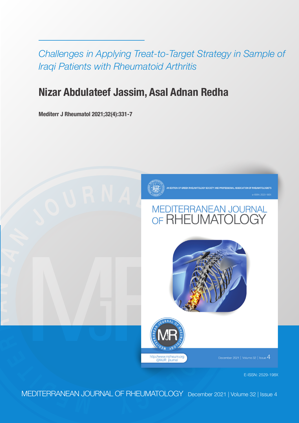*Challenges in Applying Treat-to-Target Strategy in Sample of Iraqi Patients with Rheumatoid Arthritis*

# **Nizar Abdulateef Jassim, Asal Adnan Redha**

**Mediterr J Rheumatol 2021;32(4):331-7**

**R**

**A**

**N**

**E**

**A N**



# **<sup>J</sup> <sup>O</sup> <sup>U</sup> <sup>R</sup> <sup>N</sup> <sup>A</sup> <sup>L</sup> <sup>O</sup> <sup>F</sup>**





mber 2021 | Volume 32 | Issue  $4\,$ 

E-ISSN: 2529-198X

**<sup>E</sup> <sup>M</sup> <sup>D</sup> <sup>I</sup> <sup>T</sup> <sup>E</sup> <sup>R</sup>** MEDITERRANEAN JOURNAL OF RHEUMATOLOGY December 2021 | Volume 32 | Issue 4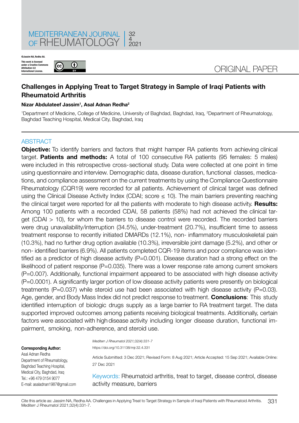

**This work is license**<br>under a Creative Cor **under a Creative Commons Attribution 4.0 International License. ©Jassim NA, Redha AA.**



## ORIGINAL PAPER

### **Challenges in Applying Treat to Target Strategy in Sample of Iraqi Patients with Rheumatoid Arthritis**

#### **Nizar Abdulateef Jassim1 , Asal Adnan Redha2**

1 Department of Medicine, College of Medicine, University of Baghdad, Baghdad, Iraq, 2 Department of Rheumatology, Baghdad Teaching Hospital, Medical City, Baghdad, Iraq

#### **ABSTRACT**

**Objective:** To identify barriers and factors that might hamper RA patients from achieving clinical target. **Patients and methods:** A total of 100 consecutive RA patients (95 females: 5 males) were included in this retrospective cross-sectional study. Data were collected at one point in time using questionnaire and interview. Demographic data, disease duration, functional classes, medications, and compliance assessment on the current treatments by using the Compliance Questionnaire Rheumatology (CQR19) were recorded for all patients. Achievement of clinical target was defined using the Clinical Disease Activity Index (CDAI; score  $\leq$  10). The main barriers preventing reaching the clinical target were reported for all the patients with moderate to high disease activity. **Results:**  Among 100 patients with a recorded CDAI, 58 patients (58%) had not achieved the clinical target (CDAI > 10), for whom the barriers to disease control were recorded. The recorded barriers were drug unavailability/interruption (34.5%), under-treatment (20.7%), insufficient time to assess treatment response to recently initiated DMARDs (12.1%), non- inflammatory musculoskeletal pain (10.3%), had no further drug option available (10.3%), irreversible joint damage (5.2%), and other or non- identified barriers (6.9%). All patients completed CQR-19 items and poor compliance was identified as a predictor of high disease activity (P=0.001). Disease duration had a strong effect on the likelihood of patient response (P=0.035). There was a lower response rate among current smokers (P=0.007). Additionally, functional impairment appeared to be associated with high disease activity (P=0.0001). A significantly larger portion of low disease activity patients were presently on biological treatments ( $P=0.037$ ) while steroid use had been associated with high disease activity ( $P=0.03$ ). Age, gender, and Body Mass Index did not predict response to treatment. **Conclusions**: This study identified interruption of biologic drugs supply as a large barrier to RA treatment target. The data supported improved outcomes among patients receiving biological treatments. Additionally, certain factors were associated with high disease activity including longer disease duration, functional impairment, smoking, non-adherence, and steroid use.

#### **Corresponding Author:**

Asal Adnan Redha Department of Rheumatology, Baghdad Teaching Hospital, Medical City, Baghdad, Iraq Tel.: +96 479 0154 9077 E-mail: asaladnan1987@gmail.com *Mediterr J Rheumatol 2021;32(4):331-7* https://doi.org/10.31138/mjr.32.4.331

Article Submitted: 3 Dec 2021; Revised Form: 8 Aug 2021; Article Accepted: 15 Sep 2021; Available Online: 27 Dec 2021

Keywords: Rheumatoid arthritis, treat to target, disease control, disease activity measure, barriers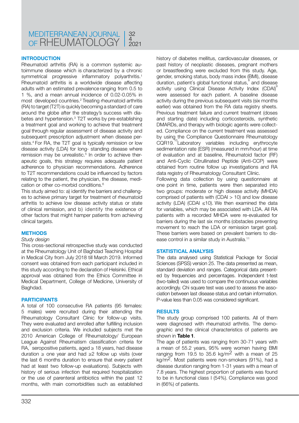#### **INTRODUCTION**

Rheumatoid arthritis (RA) is a common systemic autoimmune disease which is characterized by a chronic symmetrical progressive inflammatory polyarthritis.<sup>1</sup> Rheumatoid arthritis is a worldwide disease affecting adults with an estimated prevalence ranging from 0.5 to 1 %, and a mean annual incidence of 0.02-0.05% in most developed countries.2 Treating rheumatoid arthritis (RA) to target (T2T) is quickly becoming a standard of care around the globe after the strategy's success with diabetes and hypertension.3 T2T works by pre-establishing a treatment goal and working to achieve that treatment goal through regular assessment of disease activity and subsequent prescription adjustment when disease persists.4 For RA, the T2T goal is typically remission or low disease activity (LDA) for long- standing disease where remission may be unrealistic.<sup>5</sup> In order to achieve therapeutic goals, this strategy requires adequate patient adherence to physician recommendations. Adherence to T2T recommendations could be influenced by factors relating to the patient, the physician, the disease, medication or other co-morbid conditions.6

This study aimed to: a) identify the barriers and challenges to achieve primary target for treatment of rheumatoid arthritis to achieve low disease activity status or state of clinical remission, and b) identify the existence of other factors that might hamper patients from achieving clinical targets.

#### **METHODS**

#### *Study design*

This cross-sectional retrospective study was conducted at the Rheumatology Unit of Baghdad Teaching Hospital in Medical City from July 2018 till March 2019. Informed consent was obtained from each participant included in this study according to the declaration of Helsinki. Ethical approval was obtained from the Ethics Committee in Medical Department, College of Medicine, University of Baghdad.

#### **PARTICIPANTS**

A total of 100 consecutive RA patients (95 females: 5 males) were recruited during their attending the Rheumatology Consultant Clinic for follow-up visits. They were evaluated and enrolled after fulfilling inclusion and exclusion criteria. We included subjects met the 2010 American College of Rheumatology/ European League Against Rheumatism classification criteria for RA,  $\left(7\right)$  seropositive patients, aged  $\geq 18$  years, had disease duration ≥ one year and had ≥2 follow up visits (over the last 6 months duration to ensure that every patient had at least two follow-up evaluations). Subjects with history of serious infection that required hospitalization or the use of parenteral antibiotics within the past 12 months, with main comorbidities such as established

history of diabetes mellitus, cardiovascular diseases, or past history of neoplastic diseases, pregnant mothers or breastfeeding were excluded from this study. Age, gender, smoking status, body mass index (BMI), disease duration, patient's global functional status, and disease activity using Clinical Disease Activity Index (CDAI)<sup>9</sup> were assessed for each patient. A baseline disease activity during the previous subsequent visits (six months earlier) was obtained from the RA data registry sheets. Previous treatment failure and current treatment (doses and starting date) including corticosteroids, synthetic DMARDs, and therapy with biologic agents were collected. Compliance on the current treatment was assessed by using the Compliance Questionnaire Rheumatology CQR19.<sup>10</sup>Laboratory variables including erythrocyte sedimentation rate (ESR) (measured in mm/hour) at time of evaluation and at baseline, Rheumatoid factor (RF) and Anti-Cyclic Citrullinated Peptide (Anti-CCP) were obtained from routine follow up investigations and RA data registry of Rheumatology Consultant Clinic.

Following data collection by using questionnaire at one point in time, patients were then separated into two groups: moderate or high disease activity (MHDA) comprised of patients with (CDAI > 10) and low disease activity (LDA) (CDAI  $\leq$ 10). We then examined the data for variables, which may be associated with LDA. All RA patients with a recorded MHDA were re-evaluated for barriers during the last six months (obstacles preventing movement to reach the LDA or remission target goal). These barriers were based on prevalent barriers to disease control in a similar study in Australia.11

#### **STATISTICAL ANALYSIS**

The data analysed using Statistical Package for Social Sciences (SPSS) version 25. The data presented as mean, standard deviation and ranges. Categorical data presented by frequencies and percentages. Independent t-test (two-tailed) was used to compare the continuous variables accordingly. Chi square test was used to assess the association between last disease status and certain information. P-value less than 0.05 was considered significant.

#### **RESULTS**

The study group comprised 100 patients. All of them were diagnosed with rheumatoid arthritis. The demographic and the clinical characteristics of patients are shown in **Table 1**.

The age of patients was ranging from 30-71 years with a mean of 55.2 years, 95% were women having BMI ranging from 19.5 to 35.6 kg/m<sup>2</sup> with a mean of 25 kg/m2. Most patients were non-smokers (91%), had a disease duration ranging from 1-31 years with a mean of 7.8 years. The highest proportion of patients was found to be in functional class I (54%). Compliance was good in (66%) of patients.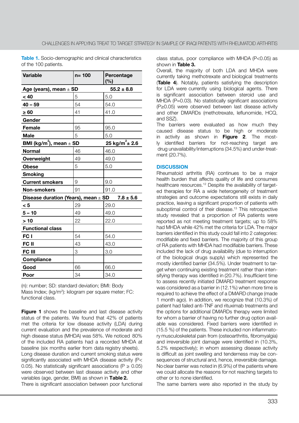**Table 1.** Socio-demographic and clinical characteristics of the 100 patients.

| <b>Variable</b>                                      | $n = 100$ | Percentage<br>(%)                                             |  |
|------------------------------------------------------|-----------|---------------------------------------------------------------|--|
| Age (years), mean $\pm$ SD                           |           | $55.2 \pm 8.8$                                                |  |
| < 40                                                 | 5         | 5.0                                                           |  |
| $40 - 59$                                            | 54        | 54.0                                                          |  |
| $\geq 60$                                            | 41        | 41.0                                                          |  |
| Gender                                               |           |                                                               |  |
| <b>Female</b>                                        | 95        | 95.0                                                          |  |
| <b>Male</b>                                          | 5         | 5.0                                                           |  |
| BMI (kg/m <sup>2</sup> ), mean $\pm$ SD              |           | $\frac{25 \text{ kg/m}^2 \pm 2.6}{25 \text{ kg/m}^2 \pm 2.6}$ |  |
| <b>Normal</b>                                        | 46        | 46.0                                                          |  |
| Overweight                                           | 49        | 49.0                                                          |  |
| <b>Obese</b>                                         | 5         | 5.0                                                           |  |
| <b>Smoking</b>                                       |           |                                                               |  |
| <b>Current smokers</b>                               | 9         | 9.0                                                           |  |
| <b>Non-smokers</b>                                   | 91        | 91.0                                                          |  |
| Disease duration (Years), mean ± SD<br>$7.8 \pm 5.6$ |           |                                                               |  |
| < 5                                                  | 29        | 29.0                                                          |  |
| $5 - 10$                                             | 49        | 49.0                                                          |  |
| >10                                                  | 22        | 22.0                                                          |  |
| <b>Functional class</b>                              |           |                                                               |  |
| FC I                                                 | 54        | 54.0                                                          |  |
| FC II                                                | 43        | 43.0                                                          |  |
| <b>FC III</b>                                        | 3         | 3.0                                                           |  |
| <b>Compliance</b>                                    |           |                                                               |  |
| Good                                                 | 66        | 66.0                                                          |  |
| Poor                                                 | 34        | 34.0                                                          |  |

(n): number; SD: standard deviation; BMI: Body Mass Index; (kg/m<sup>2</sup>): kilogram per square meter; FC: functional class.

**Figure 1** shows the baseline and last disease activity status of the patients. We found that 42% of patients met the criteria for low disease activity (LDA) during current evaluation and the prevalence of moderate and high disease status (MHDA) was 58%. We noticed 80% of the included RA patients had a recorded MHDA at baseline (six months earlier from data registry sheets). Long disease duration and current smoking status were significantly associated with MHDA disease activity (P< 0.05). No statistically significant associations ( $P \ge 0.05$ ) were observed between last disease activity and other variables (age, gender, BMI) as shown in **Τable 2.**

There is significant association between poor functional

class status, poor compliance with MHDA (P<0.05) as shown in **Table 3.**

Overall, the majority of both LDA and MHDA were currently taking methotrexate and biological treatments (**Table 4**). Notably, patients satisfying the description for LDA were currently using biological agents. There is significant association between steroid use and MHDA (P=0.03). No statistically significant associations (P≥0.05) were observed between last disease activity and other DMARDs (methotrexate, leflunomide, HCQ, and SSZ).

The barriers were evaluated as how much they caused disease status to be high or moderate in activity as shown in **Figure 2**. The mostly identified barriers for not-reaching target are drug unavailability/interruptions (34.5%) and under-treatment (20.7%).

#### **DISCUSSION**

Rheumatoid arthritis (RA) continues to be a major health burden that affects quality of life and consumes healthcare resources.<sup>12</sup> Despite the availability of targeted therapies for RA a wide heterogeneity of treatment strategies and outcome expectations still exists in daily practice, leaving a significant proportion of patients with suboptimal control of their disease.<sup>13</sup> This retrospective study revealed that a proportion of RA patients were reported as not meeting treatment targets; up to 58% had MHDA while 42% met the criteria for LDA. The major barriers identified in this study could fall into 2 categories: modifiable and fixed barriers. The majority of this group of RA patients with MHDA had modifiable barriers. These included the lack of drug availability (due to interruption of the biological drugs supply) which represented the mostly identified barrier (34.5%). Under treatment to target when continuing existing treatment rather than intensifying therapy was identified in (20.7%). Insufficient time to assess recently initiated DMARD treatment response was considered as a barrier in (12.1%) when more time is required to achieve the effect of a DMARD change (made 1 month ago). In addition, we recognize that (10.3%) of patient had failed anti-TNF and rituximab treatments and the options for additional DMARDs therapy were limited for whom a barrier of having no further drug option available was considered. Fixed barriers were identified in (15.5 %) of the patients. These included non inflammatory musculoskeletal pain from (osteoarthritis, fibromyalgia) and irreversible joint damage were identified in (10.3%, 5.2% respectively); in whom assessing disease activity is difficult as joint swelling and tenderness may be consequences of structural and, hence, irreversible damage. No clear barrier was noted in (6.9%) of the patients where we could allocate the reasons for not reaching targets to other or to none identified.

The same barriers were also reported in the study by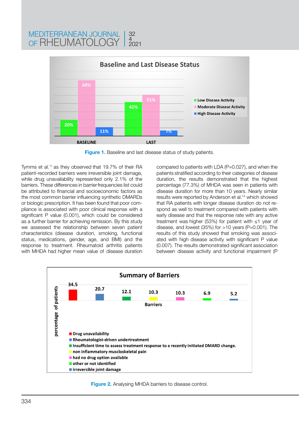

32 4 2021

**Figure 1.** Baseline and last disease status of study patients.

Tymms et al.11 as they observed that 19.7% of their RA patient-recorded barriers were irreversible joint damage, while drug unavailability represented only 2.1% of the barriers. These differences in barrier frequencies list could be attributed to financial and socioeconomic factors as the most common barrier influencing synthetic DMARDs or biologic prescription. It has been found that poor compliance is associated with poor clinical response with a significant P value (0.001), which could be considered as a further barrier for achieving remission. By this study we assessed the relationship between seven patient characteristics (disease duration, smoking, functional status, medications, gender, age, and BMI) and the response to treatment. Rheumatoid arthritis patients with MHDA had higher mean value of disease duration

MEDITERRANEAN JOURNAL OF RHEUMATOLOGY

> compared to patients with LDA (P=0.027), and when the patients stratified according to their categories of disease duration, the results demonstrated that the highest percentage (77.3%) of MHDA was seen in patients with disease duration for more than 10 years. Nearly similar results were reported by Anderson et al.14 which showed that RA patients with longer disease duration do not respond as well to treatment compared with patients with early disease and that the response rate with any active treatment was higher (53%) for patient with ≤1 year of disease, and lowest  $(35%)$  for  $>10$  years (P=0.001). The results of this study showed that smoking was associated with high disease activity with significant P value (0.007). The results demonstrated significant association between disease activity and functional impairment (P



**Figure 2.** Analysing MHDA barriers to disease control.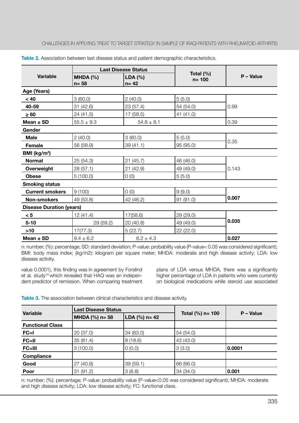| <b>Variable</b>                 | <b>Last Disease Status</b> |                        |                           |           |
|---------------------------------|----------------------------|------------------------|---------------------------|-----------|
|                                 | MHDA $(%)$<br>$n = 58$     | $LDA (\%)$<br>$n = 42$ | Total $(\%)$<br>$n = 100$ | P - Value |
| Age (Years)                     |                            |                        |                           |           |
| < 40                            | 3(60.0)                    | 2(40.0)                | 5(5.0)                    |           |
| 40-59                           | 31 (42.6)                  | 23(57.4)               | 54 (54.0)                 | 0.99      |
| $\geq 60$                       | 24 (41.5)                  | 17 (58.5)              | 41 (41.0)                 |           |
| Mean $\pm$ SD                   | $55.5 \pm 9.3$             | $54.8 \pm 8.1$         |                           | 0.39      |
| Gender                          |                            |                        |                           |           |
| <b>Male</b>                     | 2(40.0)                    | 3(60.0)                | 5(5.0)                    |           |
| Female                          | 56 (58.9)                  | 39(41.1)               | 95 (95.0)                 | 0.35      |
| BMI ( $kg/m2$ )                 |                            |                        |                           |           |
| <b>Normal</b>                   | 25 (54.3)                  | 21(45.7)               | 46 (46.0)                 |           |
| Overweight                      | 28(57.1)                   | 21(42.9)               | 49 (49.0)                 | 0.143     |
| <b>Obese</b>                    | 5(100.0)                   | 0(0)                   | 5(5.0)                    |           |
| <b>Smoking status</b>           |                            |                        |                           |           |
| <b>Current smokers</b>          | 9(100)                     | 0(0)                   | 9(9.0)                    |           |
| <b>Non-smokers</b>              | 49 (53.8)                  | 42 (46.2)              | 91 (91.0)                 | 0.007     |
| <b>Disease Duration (years)</b> |                            |                        |                           |           |
| < 5                             | 12(41.4)                   | 17(58.6)               | 29 (29.0)                 |           |
| $5 - 10$                        | 29 (59.2)                  | 20 (40.8)              | 49 (49.0)                 | 0.035     |
| $>10$                           | 17(77.3)                   | 5(22.7)                | 22 (22.0)                 |           |
| Mean $\pm$ SD                   | $9.4 \pm 6.2$              | $6.2 \pm 4.3$          |                           | 0.027     |

**Table 2.** Association between last disease status and patient demographic characteristics.

n: number; (%): percentage; SD: standard deviation; P-value: probability value (P-value< 0.05 was considered significant); BMI: body mass index; (kg/m2): kilogram per square meter; MHDA: moderate and high disease activity; LDA: low disease activity.

value 0.0001), this finding was in agreement by Forslind et al. study<sup>15</sup> which revealed that HAQ was an independent predictor of remission. When comparing treatment plans of LDA versus MHDA, there was a significantly higher percentage of LDA in patients who were currently on biological medications while steroid use associated

**Table 3.** The association between clinical characteristics and disease activity.

| <b>Variable</b>         | <b>Last Disease Status</b> |                 |                      |           |
|-------------------------|----------------------------|-----------------|----------------------|-----------|
|                         | MHDA $(%)$ n= 58           | LDA $(%)$ n= 42 | Total $(\% )$ n= 100 | P - Value |
| <b>Functional Class</b> |                            |                 |                      |           |
| $FC = I$                | 20(37.0)                   | 34 (63.0)       | 54 (54.0)            |           |
| $FC=II$                 | 35(81.4)                   | 8(18.6)         | 43 (43.0)            |           |
| FC=III                  | 3(100.0)                   | 0(0.0)          | 3(3.0)               | 0.0001    |
| <b>Compliance</b>       |                            |                 |                      |           |
| Good                    | 27 (40.9)                  | 39(59.1)        | 66 (66.0)            |           |
| Poor                    | 31(91.2)                   | 3(8.8)          | 34 (34.0)            | 0.001     |

n: number; (%): percentage; P-value: probability value (P-value<0.05 was considered significant); MHDA: moderate and high disease activity; LDA: low disease activity; FC: functional class.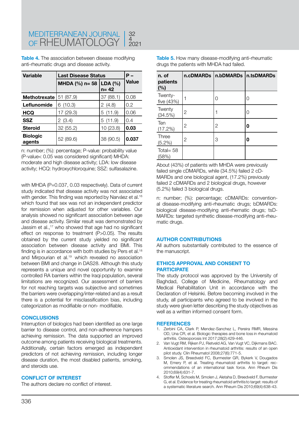**Table 4.** The association between disease modifying anti-rheumatic drugs and disease activity.

| <b>Variable</b>           | <b>Last Disease Status</b> | Р-                  |              |
|---------------------------|----------------------------|---------------------|--------------|
|                           | MHDA $(%)$ n= 58           | LDA (%)<br>$n = 42$ | <b>Value</b> |
| <b>Methotrexate</b>       | 51 (87.9)                  | 37 (88.1)           | 0.08         |
| Leflunomide               | 6(10.3)                    | 2(4.8)              | 0.2          |
| <b>HCQ</b>                | 17 (29.3)                  | 5(11.9)             | 0.06         |
| <b>SSZ</b>                | 2(3.4)                     | 5(11.9)             | 0.4          |
| <b>Steroid</b>            | 32(55.2)                   | 10 (23.8)           | 0.03         |
| <b>Biologic</b><br>agents | 52 (89.6)                  | 38 (90.5)           | 0.037        |

n: number; (%): percentage; P-value: probability value (P-value< 0.05 was considered significant) MHDA: moderate and high disease activity; LDA: low disease activity; HCQ: hydroxychloroquine; SSZ: sulfasalazine.

with MHDA (P=0.037, 0.03 respectively). Data of current study indicated that disease activity was not associated with gender. This finding was reported by Narváez et al.<sup>16</sup> which found that sex was not an independent predictor for remission when adjusted for other variables. Our analysis showed no significant association between age and disease activity. Similar result was demonstrated by Jassim et al.,<sup>17</sup> who showed that age had no significant effect on response to treatment (P>0.05). The results obtained by the current study yielded no significant association between disease activity and BMI. This finding is in accordance with both studies by Pers et al.<sup>18</sup> and Mirpourian et al.19 which revealed no association between BMI and change in DAS28. Although this study represents a unique and novel opportunity to examine controlled RA barriers within the Iraqi population, several limitations are recognized. Our assessment of barriers for not reaching targets was subjective and sometimes the barriers were overlapping/inter-related and as a result there is a potential for misclassification bias, including categorization as modifiable or non- modifiable.

#### **CONCLUSIONS**

Interruption of biologics had been identified as one large barrier to disease control, and non-adherence hampers achieving remission. The data supported an improved outcome among patients receiving biological treatments. Additionally, certain factors emerged as independent predictors of not achieving remission, including longer disease duration, the most disabled patients, smoking, and steroids use.

#### **CONFLICT OF INTEREST**

The authors declare no conflict of interest.

**Table 5.** How many disease-modifying anti-rheumatic drugs the patients with MHDA had failed.

| n. of<br>patients<br>(%) | n.cDMARDs | n.bDMARDs   n.tsDMARDs |   |
|--------------------------|-----------|------------------------|---|
| Twenty-<br>five (43%)    |           | 0                      | 0 |
| Twenty<br>(34.5%)        | 2         |                        | 0 |
| Ten<br>(17.2%)           | 2         | $\overline{2}$         | 0 |
| Three<br>$(5.2\%)$       | 2         | 3                      | 0 |
| Total= $58$<br>(58%)     |           |                        |   |

About (43%) of patients with MHDA were previously failed single cDMARDs, while (34.5%) failed 2 cD-MARDs and one biological agent, (17.2%) previously failed 2 cDMARDs and 2 biological drugs, however (5.2%) failed 3 biological drugs.

n: number; (%): percentage; cDMARDs: conventional disease-modifying anti-rheumatic drugs; bDMARDs: biological disease-modifying anti-rhematic drugs; tsD-MARDs: targeted synthetic disease-modifying anti-rheumatic drugs.

#### **AUTHOR CONTRIBUTIONS**

All authors substantially contributed to the essence of the manuscript.

#### **ETHICS APPROVAL AND CONSENT TO PARTICIPATE**

The study protocol was approved by the University of Baghdad, College of Medicine, Rheumatology and Medical Rehabilitation Unit in accordance with the Declaration of Helsinki. Before becoming involved in the study, all participants who agreed to be involved in the study were given letter describing the study objectives as well as a written informed consent form.

#### **REFERENCES**

- 1. Zerbini CA, Clark P, Mendez-Sanchez L, Pereira RMR, Messina OD, Una CR, et al. Biologic therapies and bone loss in rheumatoid arthritis. Osteoporosis Int 2017;28(2):429-446.
- 2. Van Vugt RM, Rijken PJ, Rietveld AG, Van Vugt VC, Dijkmans BAC. Antioxidant intervention in rheumatoid arthritis: results of an open pilot study. Clin Rheumatol 2008;27(6):771-5.
- 3. Smolen JS, Breedveld FC, Burmester GR, Bykerk V, Dougados M, Emery P, et al. Treating rheumatoid arthritis to target: recommendations of an international task force. Ann Rheum Dis 2010;69(4):631-7.
- 4. Stoffer M, Schoels M, Smolen J, Aletaha D, Breedveld F, Burmester G, et al. Evidence for treating rheumatoid arthritis to target: results of a systematic literature search. Ann Rheum Dis 2010;69(4):638-43.